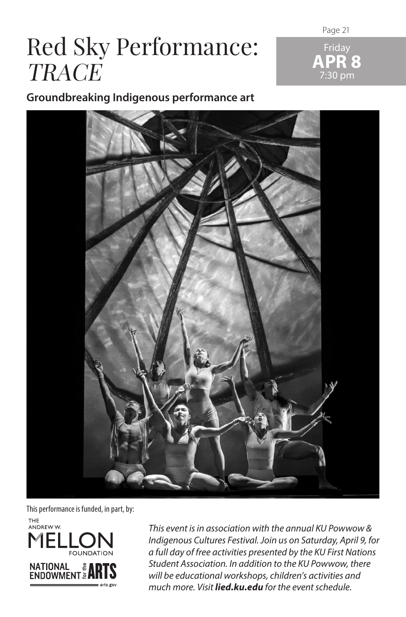# Red Sky Performance: **TRACE**

Page 21 Friday **APR 8**

7:30 pm

**Groundbreaking Indigenous performance art**



This performance is funded, in part, by:



*This event is in association with the annual KU Powwow & Indigenous Cultures Festival. Join us on Saturday, April 9, for a full day of free activities presented by the KU First Nations Student Association. In addition to the KU Powwow, there will be educational workshops, children's activities and much more. Visit lied.ku.edu for the event schedule.*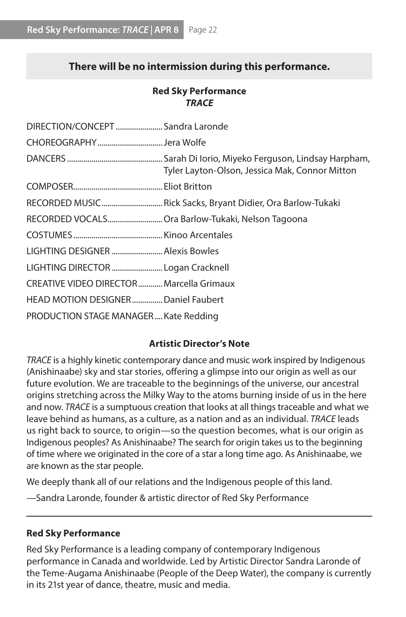## **There will be no intermission during this performance.**

### **Red Sky Performance** *TRACE*

| DIRECTION/CONCEPT  Sandra Laronde         |                                                             |
|-------------------------------------------|-------------------------------------------------------------|
| CHOREOGRAPHYJera Wolfe                    |                                                             |
|                                           | Tyler Layton-Olson, Jessica Mak, Connor Mitton              |
|                                           |                                                             |
|                                           | RECORDED MUSIC Rick Sacks, Bryant Didier, Ora Barlow-Tukaki |
|                                           | RECORDED VOCALS Ora Barlow-Tukaki, Nelson Tagoona           |
|                                           |                                                             |
| LIGHTING DESIGNER  Alexis Bowles          |                                                             |
| LIGHTING DIRECTOR  Logan Cracknell        |                                                             |
| CREATIVE VIDEO DIRECTOR  Marcella Grimaux |                                                             |
| HEAD MOTION DESIGNERDaniel Faubert        |                                                             |
| PRODUCTION STAGE MANAGER Kate Redding     |                                                             |

#### **Artistic Director's Note**

*TRACE* is a highly kinetic contemporary dance and music work inspired by Indigenous (Anishinaabe) sky and star stories, offering a glimpse into our origin as well as our future evolution. We are traceable to the beginnings of the universe, our ancestral origins stretching across the Milky Way to the atoms burning inside of us in the here and now. *TRACE* is a sumptuous creation that looks at all things traceable and what we leave behind as humans, as a culture, as a nation and as an individual. *TRACE* leads us right back to source, to origin—so the question becomes, what is our origin as Indigenous peoples? As Anishinaabe? The search for origin takes us to the beginning of time where we originated in the core of a star a long time ago. As Anishinaabe, we are known as the star people.

We deeply thank all of our relations and the Indigenous people of this land.

—Sandra Laronde, founder & artistic director of Red Sky Performance

#### **Red Sky Performance**

Red Sky Performance is a leading company of contemporary Indigenous performance in Canada and worldwide. Led by Artistic Director Sandra Laronde of the Teme-Augama Anishinaabe (People of the Deep Water), the company is currently in its 21st year of dance, theatre, music and media.